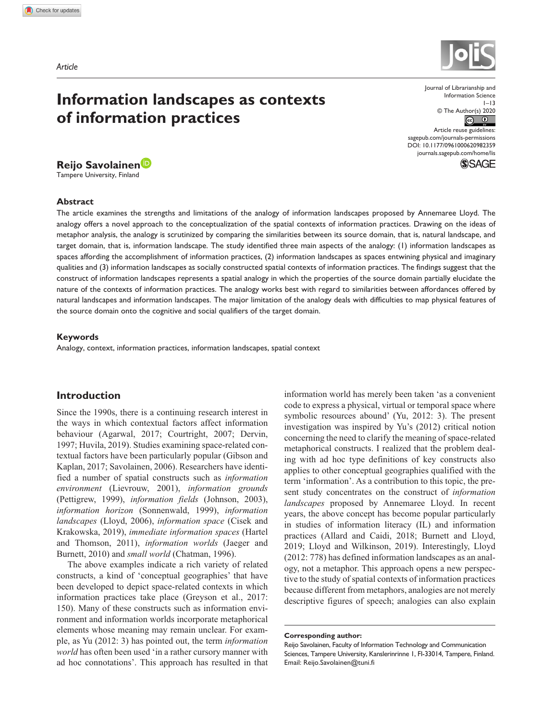# **Information landscapes as contexts of information practices**

# **Reijo Savolainen**

Tampere University, Finland

#### **Abstract**

Information Science  $1 - 13$ © The Author(s) 2020  $\boxed{\textcircled{\scriptsize{6}}}$ Article reuse guidelines: [sagepub.com/journals-permissions](https://uk.sagepub.com/en-gb/journals-permissions) DOI: 10.1177/0961000620982359

[journals.sagepub.com/home/lis](https://journals.sagepub.com/home/lis)

Journal of Librarianship and

**SSAGE** 

The article examines the strengths and limitations of the analogy of information landscapes proposed by Annemaree Lloyd. The analogy offers a novel approach to the conceptualization of the spatial contexts of information practices. Drawing on the ideas of metaphor analysis, the analogy is scrutinized by comparing the similarities between its source domain, that is, natural landscape, and target domain, that is, information landscape. The study identified three main aspects of the analogy: (1) information landscapes as spaces affording the accomplishment of information practices, (2) information landscapes as spaces entwining physical and imaginary qualities and (3) information landscapes as socially constructed spatial contexts of information practices. The findings suggest that the construct of information landscapes represents a spatial analogy in which the properties of the source domain partially elucidate the nature of the contexts of information practices. The analogy works best with regard to similarities between affordances offered by natural landscapes and information landscapes. The major limitation of the analogy deals with difficulties to map physical features of the source domain onto the cognitive and social qualifiers of the target domain.

#### **Keywords**

Analogy, context, information practices, information landscapes, spatial context

### **Introduction**

Since the 1990s, there is a continuing research interest in the ways in which contextual factors affect information behaviour (Agarwal, 2017; Courtright, 2007; Dervin, 1997; Huvila, 2019). Studies examining space-related contextual factors have been particularly popular (Gibson and Kaplan, 2017; Savolainen, 2006). Researchers have identified a number of spatial constructs such as *information environment* (Lievrouw, 2001), *information grounds* (Pettigrew, 1999), *information fields* (Johnson, 2003), *information horizon* (Sonnenwald, 1999), *information landscapes* (Lloyd, 2006), *information space* (Cisek and Krakowska, 2019), *immediate information spaces* (Hartel and Thomson, 2011), *information worlds* (Jaeger and Burnett, 2010) and *small world* (Chatman, 1996).

The above examples indicate a rich variety of related constructs, a kind of 'conceptual geographies' that have been developed to depict space-related contexts in which information practices take place (Greyson et al., 2017: 150). Many of these constructs such as information environment and information worlds incorporate metaphorical elements whose meaning may remain unclear. For example, as Yu (2012: 3) has pointed out, the term *information world* has often been used 'in a rather cursory manner with ad hoc connotations'. This approach has resulted in that information world has merely been taken 'as a convenient code to express a physical, virtual or temporal space where symbolic resources abound' (Yu, 2012: 3). The present investigation was inspired by Yu's (2012) critical notion concerning the need to clarify the meaning of space-related metaphorical constructs. I realized that the problem dealing with ad hoc type definitions of key constructs also applies to other conceptual geographies qualified with the term 'information'. As a contribution to this topic, the present study concentrates on the construct of *information landscapes* proposed by Annemaree Lloyd. In recent years, the above concept has become popular particularly in studies of information literacy (IL) and information practices (Allard and Caidi, 2018; Burnett and Lloyd, 2019; Lloyd and Wilkinson, 2019). Interestingly, Lloyd (2012: 778) has defined information landscapes as an analogy, not a metaphor. This approach opens a new perspective to the study of spatial contexts of information practices because different from metaphors, analogies are not merely descriptive figures of speech; analogies can also explain

#### **Corresponding author:**



Reijo Savolainen, Faculty of Information Technology and Communication Sciences, Tampere University, Kanslerinrinne 1, FI-33014, Tampere, Finland. Email: [Reijo.Savolainen@tuni.fi](mailto:Reijo.Savolainen@tuni.fi)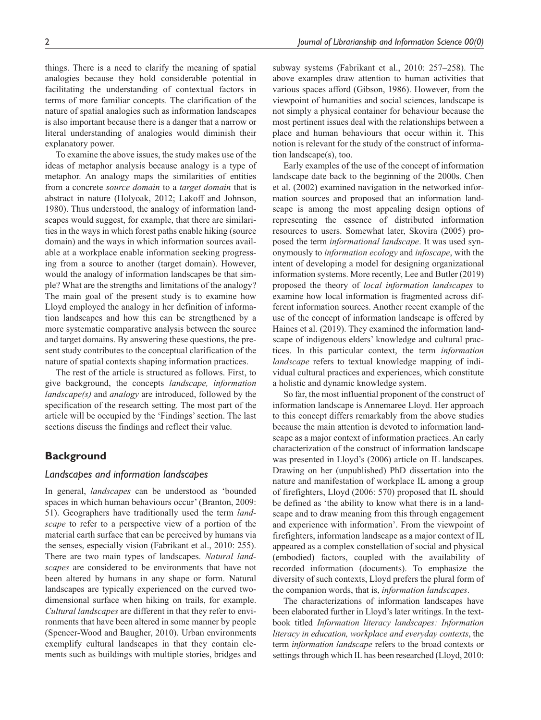things. There is a need to clarify the meaning of spatial analogies because they hold considerable potential in facilitating the understanding of contextual factors in terms of more familiar concepts. The clarification of the nature of spatial analogies such as information landscapes is also important because there is a danger that a narrow or literal understanding of analogies would diminish their explanatory power.

To examine the above issues, the study makes use of the ideas of metaphor analysis because analogy is a type of metaphor. An analogy maps the similarities of entities from a concrete *source domain* to a *target domain* that is abstract in nature (Holyoak, 2012; Lakoff and Johnson, 1980). Thus understood, the analogy of information landscapes would suggest, for example, that there are similarities in the ways in which forest paths enable hiking (source domain) and the ways in which information sources available at a workplace enable information seeking progressing from a source to another (target domain). However, would the analogy of information landscapes be that simple? What are the strengths and limitations of the analogy? The main goal of the present study is to examine how Lloyd employed the analogy in her definition of information landscapes and how this can be strengthened by a more systematic comparative analysis between the source and target domains. By answering these questions, the present study contributes to the conceptual clarification of the nature of spatial contexts shaping information practices.

The rest of the article is structured as follows. First, to give background, the concepts *landscape, information landscape(s)* and *analogy* are introduced, followed by the specification of the research setting. The most part of the article will be occupied by the 'Findings' section. The last sections discuss the findings and reflect their value.

### **Background**

### *Landscapes and information landscapes*

In general, *landscapes* can be understood as 'bounded spaces in which human behaviours occur' (Branton, 2009: 51). Geographers have traditionally used the term *landscape* to refer to a perspective view of a portion of the material earth surface that can be perceived by humans via the senses, especially vision (Fabrikant et al., 2010: 255). There are two main types of landscapes. *Natural landscapes* are considered to be environments that have not been altered by humans in any shape or form. Natural landscapes are typically experienced on the curved twodimensional surface when hiking on trails, for example. *Cultural landscapes* are different in that they refer to environments that have been altered in some manner by people (Spencer-Wood and Baugher, 2010). Urban environments exemplify cultural landscapes in that they contain elements such as buildings with multiple stories, bridges and subway systems (Fabrikant et al., 2010: 257–258). The above examples draw attention to human activities that various spaces afford (Gibson, 1986). However, from the viewpoint of humanities and social sciences, landscape is not simply a physical container for behaviour because the most pertinent issues deal with the relationships between a place and human behaviours that occur within it. This notion is relevant for the study of the construct of information landscape(s), too.

Early examples of the use of the concept of information landscape date back to the beginning of the 2000s. Chen et al. (2002) examined navigation in the networked information sources and proposed that an information landscape is among the most appealing design options of representing the essence of distributed information resources to users. Somewhat later, Skovira (2005) proposed the term *informational landscape*. It was used synonymously to *information ecology* and *infoscape*, with the intent of developing a model for designing organizational information systems. More recently, Lee and Butler (2019) proposed the theory of *local information landscapes* to examine how local information is fragmented across different information sources. Another recent example of the use of the concept of information landscape is offered by Haines et al. (2019). They examined the information landscape of indigenous elders' knowledge and cultural practices. In this particular context, the term *information landscape* refers to textual knowledge mapping of individual cultural practices and experiences, which constitute a holistic and dynamic knowledge system.

So far, the most influential proponent of the construct of information landscape is Annemaree Lloyd. Her approach to this concept differs remarkably from the above studies because the main attention is devoted to information landscape as a major context of information practices. An early characterization of the construct of information landscape was presented in Lloyd's (2006) article on IL landscapes. Drawing on her (unpublished) PhD dissertation into the nature and manifestation of workplace IL among a group of firefighters, Lloyd (2006: 570) proposed that IL should be defined as 'the ability to know what there is in a landscape and to draw meaning from this through engagement and experience with information'. From the viewpoint of firefighters, information landscape as a major context of IL appeared as a complex constellation of social and physical (embodied) factors, coupled with the availability of recorded information (documents). To emphasize the diversity of such contexts, Lloyd prefers the plural form of the companion words, that is, *information landscapes*.

The characterizations of information landscapes have been elaborated further in Lloyd's later writings. In the textbook titled *Information literacy landscapes: Information literacy in education, workplace and everyday contexts*, the term *information landscape* refers to the broad contexts or settings through which IL has been researched (Lloyd, 2010: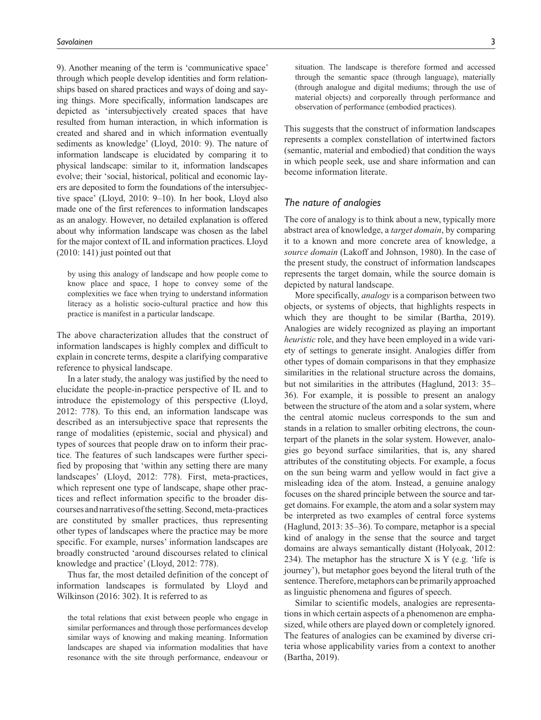9). Another meaning of the term is 'communicative space' through which people develop identities and form relationships based on shared practices and ways of doing and saying things. More specifically, information landscapes are depicted as 'intersubjectively created spaces that have resulted from human interaction, in which information is created and shared and in which information eventually sediments as knowledge' (Lloyd, 2010: 9). The nature of information landscape is elucidated by comparing it to physical landscape: similar to it, information landscapes evolve; their 'social, historical, political and economic layers are deposited to form the foundations of the intersubjective space' (Lloyd, 2010: 9–10). In her book, Lloyd also made one of the first references to information landscapes as an analogy. However, no detailed explanation is offered about why information landscape was chosen as the label for the major context of IL and information practices. Lloyd (2010: 141) just pointed out that

by using this analogy of landscape and how people come to know place and space, I hope to convey some of the complexities we face when trying to understand information literacy as a holistic socio-cultural practice and how this practice is manifest in a particular landscape.

The above characterization alludes that the construct of information landscapes is highly complex and difficult to explain in concrete terms, despite a clarifying comparative reference to physical landscape.

In a later study, the analogy was justified by the need to elucidate the people-in-practice perspective of IL and to introduce the epistemology of this perspective (Lloyd, 2012: 778). To this end, an information landscape was described as an intersubjective space that represents the range of modalities (epistemic, social and physical) and types of sources that people draw on to inform their practice. The features of such landscapes were further specified by proposing that 'within any setting there are many landscapes' (Lloyd, 2012: 778). First, meta-practices, which represent one type of landscape, shape other practices and reflect information specific to the broader discourses and narratives of the setting. Second, meta-practices are constituted by smaller practices, thus representing other types of landscapes where the practice may be more specific. For example, nurses' information landscapes are broadly constructed 'around discourses related to clinical knowledge and practice' (Lloyd, 2012: 778).

Thus far, the most detailed definition of the concept of information landscapes is formulated by Lloyd and Wilkinson (2016: 302). It is referred to as

the total relations that exist between people who engage in similar performances and through those performances develop similar ways of knowing and making meaning. Information landscapes are shaped via information modalities that have resonance with the site through performance, endeavour or

situation. The landscape is therefore formed and accessed through the semantic space (through language), materially (through analogue and digital mediums; through the use of material objects) and corporeally through performance and observation of performance (embodied practices).

This suggests that the construct of information landscapes represents a complex constellation of intertwined factors (semantic, material and embodied) that condition the ways in which people seek, use and share information and can become information literate.

### *The nature of analogies*

The core of analogy is to think about a new, typically more abstract area of knowledge, a *target domain*, by comparing it to a known and more concrete area of knowledge, a *source domain* (Lakoff and Johnson, 1980). In the case of the present study, the construct of information landscapes represents the target domain, while the source domain is depicted by natural landscape.

More specifically, *analogy* is a comparison between two objects, or systems of objects, that highlights respects in which they are thought to be similar (Bartha, 2019). Analogies are widely recognized as playing an important *heuristic* role, and they have been employed in a wide variety of settings to generate insight. Analogies differ from other types of domain comparisons in that they emphasize similarities in the relational structure across the domains, but not similarities in the attributes (Haglund, 2013: 35– 36). For example, it is possible to present an analogy between the structure of the atom and a solar system, where the central atomic nucleus corresponds to the sun and stands in a relation to smaller orbiting electrons, the counterpart of the planets in the solar system. However, analogies go beyond surface similarities, that is, any shared attributes of the constituting objects. For example, a focus on the sun being warm and yellow would in fact give a misleading idea of the atom. Instead, a genuine analogy focuses on the shared principle between the source and target domains. For example, the atom and a solar system may be interpreted as two examples of central force systems (Haglund, 2013: 35–36). To compare, metaphor is a special kind of analogy in the sense that the source and target domains are always semantically distant (Holyoak, 2012: 234). The metaphor has the structure  $X$  is  $Y$  (e.g. 'life is journey'), but metaphor goes beyond the literal truth of the sentence. Therefore, metaphors can be primarily approached as linguistic phenomena and figures of speech.

Similar to scientific models, analogies are representations in which certain aspects of a phenomenon are emphasized, while others are played down or completely ignored. The features of analogies can be examined by diverse criteria whose applicability varies from a context to another (Bartha, 2019).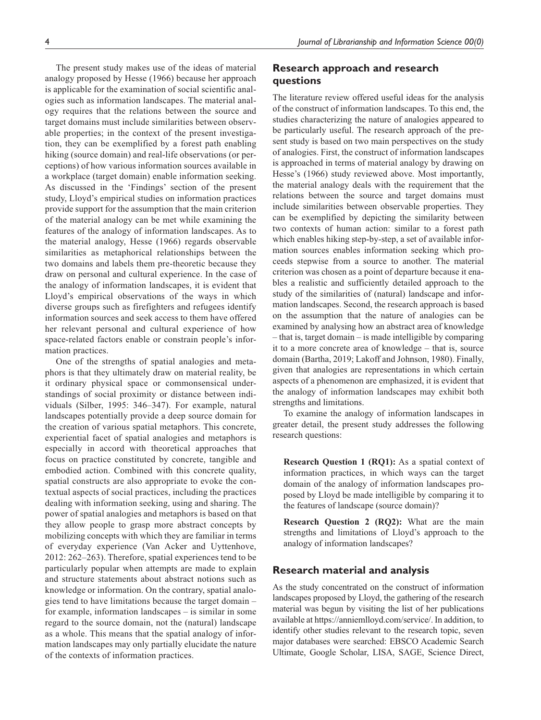The present study makes use of the ideas of material analogy proposed by Hesse (1966) because her approach is applicable for the examination of social scientific analogies such as information landscapes. The material analogy requires that the relations between the source and target domains must include similarities between observable properties; in the context of the present investigation, they can be exemplified by a forest path enabling hiking (source domain) and real-life observations (or perceptions) of how various information sources available in a workplace (target domain) enable information seeking. As discussed in the 'Findings' section of the present study, Lloyd's empirical studies on information practices provide support for the assumption that the main criterion of the material analogy can be met while examining the features of the analogy of information landscapes. As to the material analogy, Hesse (1966) regards observable similarities as metaphorical relationships between the two domains and labels them pre-theoretic because they draw on personal and cultural experience. In the case of the analogy of information landscapes, it is evident that Lloyd's empirical observations of the ways in which diverse groups such as firefighters and refugees identify information sources and seek access to them have offered her relevant personal and cultural experience of how space-related factors enable or constrain people's information practices.

One of the strengths of spatial analogies and metaphors is that they ultimately draw on material reality, be it ordinary physical space or commonsensical understandings of social proximity or distance between individuals (Silber, 1995: 346–347). For example, natural landscapes potentially provide a deep source domain for the creation of various spatial metaphors. This concrete, experiential facet of spatial analogies and metaphors is especially in accord with theoretical approaches that focus on practice constituted by concrete, tangible and embodied action. Combined with this concrete quality, spatial constructs are also appropriate to evoke the contextual aspects of social practices, including the practices dealing with information seeking, using and sharing. The power of spatial analogies and metaphors is based on that they allow people to grasp more abstract concepts by mobilizing concepts with which they are familiar in terms of everyday experience (Van Acker and Uyttenhove, 2012: 262–263). Therefore, spatial experiences tend to be particularly popular when attempts are made to explain and structure statements about abstract notions such as knowledge or information. On the contrary, spatial analogies tend to have limitations because the target domain – for example, information landscapes – is similar in some regard to the source domain, not the (natural) landscape as a whole. This means that the spatial analogy of information landscapes may only partially elucidate the nature of the contexts of information practices.

# **Research approach and research questions**

The literature review offered useful ideas for the analysis of the construct of information landscapes. To this end, the studies characterizing the nature of analogies appeared to be particularly useful. The research approach of the present study is based on two main perspectives on the study of analogies. First, the construct of information landscapes is approached in terms of material analogy by drawing on Hesse's (1966) study reviewed above. Most importantly, the material analogy deals with the requirement that the relations between the source and target domains must include similarities between observable properties. They can be exemplified by depicting the similarity between two contexts of human action: similar to a forest path which enables hiking step-by-step, a set of available information sources enables information seeking which proceeds stepwise from a source to another. The material criterion was chosen as a point of departure because it enables a realistic and sufficiently detailed approach to the study of the similarities of (natural) landscape and information landscapes. Second, the research approach is based on the assumption that the nature of analogies can be examined by analysing how an abstract area of knowledge – that is, target domain – is made intelligible by comparing it to a more concrete area of knowledge – that is, source domain (Bartha, 2019; Lakoff and Johnson, 1980). Finally, given that analogies are representations in which certain aspects of a phenomenon are emphasized, it is evident that the analogy of information landscapes may exhibit both strengths and limitations.

To examine the analogy of information landscapes in greater detail, the present study addresses the following research questions:

**Research Question 1 (RQ1):** As a spatial context of information practices, in which ways can the target domain of the analogy of information landscapes proposed by Lloyd be made intelligible by comparing it to the features of landscape (source domain)?

**Research Question 2 (RQ2):** What are the main strengths and limitations of Lloyd's approach to the analogy of information landscapes?

### **Research material and analysis**

As the study concentrated on the construct of information landscapes proposed by Lloyd, the gathering of the research material was begun by visiting the list of her publications available at [https://anniemlloyd.com/service/.](https://anniemlloyd.com/service/) In addition, to identify other studies relevant to the research topic, seven major databases were searched: EBSCO Academic Search Ultimate, Google Scholar, LISA, SAGE, Science Direct,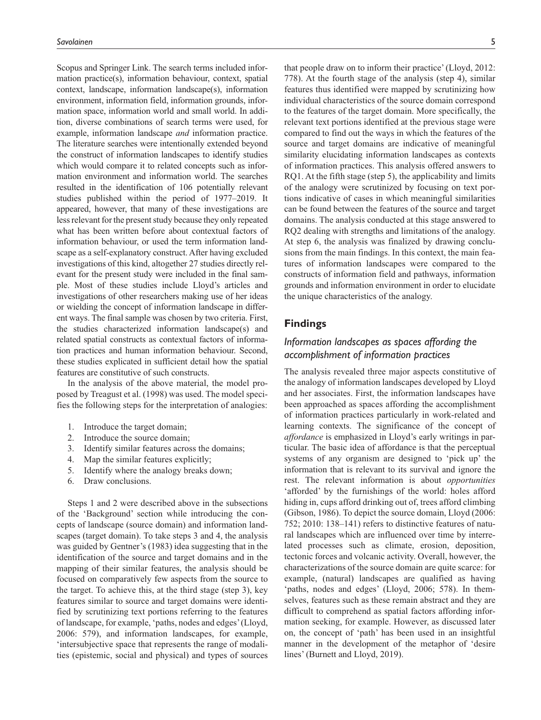Scopus and Springer Link. The search terms included information practice(s), information behaviour, context, spatial context, landscape, information landscape(s), information environment, information field, information grounds, information space, information world and small world. In addition, diverse combinations of search terms were used, for example, information landscape *and* information practice. The literature searches were intentionally extended beyond the construct of information landscapes to identify studies which would compare it to related concepts such as information environment and information world. The searches resulted in the identification of 106 potentially relevant studies published within the period of 1977–2019. It appeared, however, that many of these investigations are less relevant for the present study because they only repeated what has been written before about contextual factors of information behaviour, or used the term information landscape as a self-explanatory construct. After having excluded investigations of this kind, altogether 27 studies directly relevant for the present study were included in the final sample. Most of these studies include Lloyd's articles and investigations of other researchers making use of her ideas or wielding the concept of information landscape in different ways. The final sample was chosen by two criteria. First, the studies characterized information landscape(s) and related spatial constructs as contextual factors of information practices and human information behaviour. Second, these studies explicated in sufficient detail how the spatial features are constitutive of such constructs.

In the analysis of the above material, the model proposed by Treagust et al. (1998) was used. The model specifies the following steps for the interpretation of analogies:

- 1. Introduce the target domain;
- 2. Introduce the source domain;
- 3. Identify similar features across the domains;
- 4. Map the similar features explicitly;
- 5. Identify where the analogy breaks down;
- 6. Draw conclusions.

Steps 1 and 2 were described above in the subsections of the 'Background' section while introducing the concepts of landscape (source domain) and information landscapes (target domain). To take steps 3 and 4, the analysis was guided by Gentner's (1983) idea suggesting that in the identification of the source and target domains and in the mapping of their similar features, the analysis should be focused on comparatively few aspects from the source to the target. To achieve this, at the third stage (step 3), key features similar to source and target domains were identified by scrutinizing text portions referring to the features of landscape, for example, 'paths, nodes and edges' (Lloyd, 2006: 579), and information landscapes, for example, 'intersubjective space that represents the range of modalities (epistemic, social and physical) and types of sources

that people draw on to inform their practice' (Lloyd, 2012: 778). At the fourth stage of the analysis (step 4), similar features thus identified were mapped by scrutinizing how individual characteristics of the source domain correspond to the features of the target domain. More specifically, the relevant text portions identified at the previous stage were compared to find out the ways in which the features of the source and target domains are indicative of meaningful similarity elucidating information landscapes as contexts of information practices. This analysis offered answers to RQ1. At the fifth stage (step 5), the applicability and limits of the analogy were scrutinized by focusing on text portions indicative of cases in which meaningful similarities can be found between the features of the source and target domains. The analysis conducted at this stage answered to RQ2 dealing with strengths and limitations of the analogy. At step 6, the analysis was finalized by drawing conclusions from the main findings. In this context, the main features of information landscapes were compared to the constructs of information field and pathways, information grounds and information environment in order to elucidate the unique characteristics of the analogy.

# **Findings**

# *Information landscapes as spaces affording the accomplishment of information practices*

The analysis revealed three major aspects constitutive of the analogy of information landscapes developed by Lloyd and her associates. First, the information landscapes have been approached as spaces affording the accomplishment of information practices particularly in work-related and learning contexts. The significance of the concept of *affordance* is emphasized in Lloyd's early writings in particular. The basic idea of affordance is that the perceptual systems of any organism are designed to 'pick up' the information that is relevant to its survival and ignore the rest. The relevant information is about *opportunities* 'afforded' by the furnishings of the world: holes afford hiding in, cups afford drinking out of, trees afford climbing (Gibson, 1986). To depict the source domain, Lloyd (2006: 752; 2010: 138–141) refers to distinctive features of natural landscapes which are influenced over time by interrelated processes such as climate, erosion, deposition, tectonic forces and volcanic activity. Overall, however, the characterizations of the source domain are quite scarce: for example, (natural) landscapes are qualified as having 'paths, nodes and edges' (Lloyd, 2006; 578). In themselves, features such as these remain abstract and they are difficult to comprehend as spatial factors affording information seeking, for example. However, as discussed later on, the concept of 'path' has been used in an insightful manner in the development of the metaphor of 'desire lines' (Burnett and Lloyd, 2019).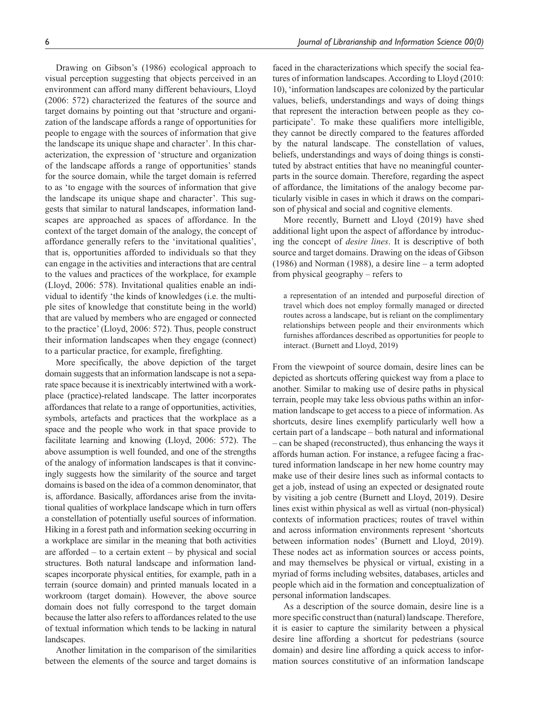Drawing on Gibson's (1986) ecological approach to visual perception suggesting that objects perceived in an environment can afford many different behaviours, Lloyd (2006: 572) characterized the features of the source and target domains by pointing out that 'structure and organization of the landscape affords a range of opportunities for people to engage with the sources of information that give the landscape its unique shape and character'. In this characterization, the expression of 'structure and organization of the landscape affords a range of opportunities' stands for the source domain, while the target domain is referred to as 'to engage with the sources of information that give the landscape its unique shape and character'. This suggests that similar to natural landscapes, information landscapes are approached as spaces of affordance. In the context of the target domain of the analogy, the concept of affordance generally refers to the 'invitational qualities', that is, opportunities afforded to individuals so that they can engage in the activities and interactions that are central to the values and practices of the workplace, for example (Lloyd, 2006: 578). Invitational qualities enable an individual to identify 'the kinds of knowledges (i.e. the multiple sites of knowledge that constitute being in the world) that are valued by members who are engaged or connected to the practice' (Lloyd, 2006: 572). Thus, people construct their information landscapes when they engage (connect) to a particular practice, for example, firefighting.

More specifically, the above depiction of the target domain suggests that an information landscape is not a separate space because it is inextricably intertwined with a workplace (practice)-related landscape. The latter incorporates affordances that relate to a range of opportunities, activities, symbols, artefacts and practices that the workplace as a space and the people who work in that space provide to facilitate learning and knowing (Lloyd, 2006: 572). The above assumption is well founded, and one of the strengths of the analogy of information landscapes is that it convincingly suggests how the similarity of the source and target domains is based on the idea of a common denominator, that is, affordance. Basically, affordances arise from the invitational qualities of workplace landscape which in turn offers a constellation of potentially useful sources of information. Hiking in a forest path and information seeking occurring in a workplace are similar in the meaning that both activities are afforded – to a certain extent – by physical and social structures. Both natural landscape and information landscapes incorporate physical entities, for example, path in a terrain (source domain) and printed manuals located in a workroom (target domain). However, the above source domain does not fully correspond to the target domain because the latter also refers to affordances related to the use of textual information which tends to be lacking in natural landscapes.

Another limitation in the comparison of the similarities between the elements of the source and target domains is

faced in the characterizations which specify the social features of information landscapes. According to Lloyd (2010: 10), 'information landscapes are colonized by the particular values, beliefs, understandings and ways of doing things that represent the interaction between people as they coparticipate'. To make these qualifiers more intelligible, they cannot be directly compared to the features afforded by the natural landscape. The constellation of values, beliefs, understandings and ways of doing things is constituted by abstract entities that have no meaningful counterparts in the source domain. Therefore, regarding the aspect of affordance, the limitations of the analogy become particularly visible in cases in which it draws on the comparison of physical and social and cognitive elements.

More recently, Burnett and Lloyd (2019) have shed additional light upon the aspect of affordance by introducing the concept of *desire lines*. It is descriptive of both source and target domains. Drawing on the ideas of Gibson (1986) and Norman (1988), a desire line – a term adopted from physical geography – refers to

a representation of an intended and purposeful direction of travel which does not employ formally managed or directed routes across a landscape, but is reliant on the complimentary relationships between people and their environments which furnishes affordances described as opportunities for people to interact. (Burnett and Lloyd, 2019)

From the viewpoint of source domain, desire lines can be depicted as shortcuts offering quickest way from a place to another. Similar to making use of desire paths in physical terrain, people may take less obvious paths within an information landscape to get access to a piece of information. As shortcuts, desire lines exemplify particularly well how a certain part of a landscape – both natural and informational – can be shaped (reconstructed), thus enhancing the ways it affords human action. For instance, a refugee facing a fractured information landscape in her new home country may make use of their desire lines such as informal contacts to get a job, instead of using an expected or designated route by visiting a job centre (Burnett and Lloyd, 2019). Desire lines exist within physical as well as virtual (non-physical) contexts of information practices; routes of travel within and across information environments represent 'shortcuts between information nodes' (Burnett and Lloyd, 2019). These nodes act as information sources or access points, and may themselves be physical or virtual, existing in a myriad of forms including websites, databases, articles and people which aid in the formation and conceptualization of personal information landscapes.

As a description of the source domain, desire line is a more specific construct than (natural) landscape. Therefore, it is easier to capture the similarity between a physical desire line affording a shortcut for pedestrians (source domain) and desire line affording a quick access to information sources constitutive of an information landscape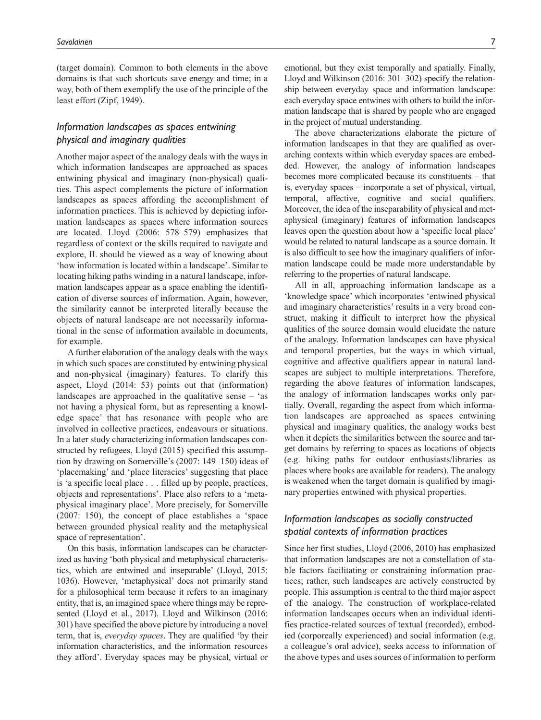(target domain). Common to both elements in the above domains is that such shortcuts save energy and time; in a way, both of them exemplify the use of the principle of the least effort (Zipf, 1949).

# *Information landscapes as spaces entwining physical and imaginary qualities*

Another major aspect of the analogy deals with the ways in which information landscapes are approached as spaces entwining physical and imaginary (non-physical) qualities. This aspect complements the picture of information landscapes as spaces affording the accomplishment of information practices. This is achieved by depicting information landscapes as spaces where information sources are located. Lloyd (2006: 578–579) emphasizes that regardless of context or the skills required to navigate and explore, IL should be viewed as a way of knowing about 'how information is located within a landscape'. Similar to locating hiking paths winding in a natural landscape, information landscapes appear as a space enabling the identification of diverse sources of information. Again, however, the similarity cannot be interpreted literally because the objects of natural landscape are not necessarily informational in the sense of information available in documents, for example.

A further elaboration of the analogy deals with the ways in which such spaces are constituted by entwining physical and non-physical (imaginary) features. To clarify this aspect, Lloyd (2014: 53) points out that (information) landscapes are approached in the qualitative sense – 'as not having a physical form, but as representing a knowledge space' that has resonance with people who are involved in collective practices, endeavours or situations. In a later study characterizing information landscapes constructed by refugees, Lloyd (2015) specified this assumption by drawing on Somerville's (2007: 149–150) ideas of 'placemaking' and 'place literacies' suggesting that place is 'a specific local place . . . filled up by people, practices, objects and representations'. Place also refers to a 'metaphysical imaginary place'. More precisely, for Somerville (2007: 150), the concept of place establishes a 'space between grounded physical reality and the metaphysical space of representation'.

On this basis, information landscapes can be characterized as having 'both physical and metaphysical characteristics, which are entwined and inseparable' (Lloyd, 2015: 1036). However, 'metaphysical' does not primarily stand for a philosophical term because it refers to an imaginary entity, that is, an imagined space where things may be represented (Lloyd et al., 2017). Lloyd and Wilkinson (2016: 301) have specified the above picture by introducing a novel term, that is, *everyday spaces*. They are qualified 'by their information characteristics, and the information resources they afford'. Everyday spaces may be physical, virtual or emotional, but they exist temporally and spatially. Finally, Lloyd and Wilkinson (2016: 301–302) specify the relationship between everyday space and information landscape: each everyday space entwines with others to build the information landscape that is shared by people who are engaged in the project of mutual understanding.

The above characterizations elaborate the picture of information landscapes in that they are qualified as overarching contexts within which everyday spaces are embedded. However, the analogy of information landscapes becomes more complicated because its constituents – that is, everyday spaces – incorporate a set of physical, virtual, temporal, affective, cognitive and social qualifiers. Moreover, the idea of the inseparability of physical and metaphysical (imaginary) features of information landscapes leaves open the question about how a 'specific local place' would be related to natural landscape as a source domain. It is also difficult to see how the imaginary qualifiers of information landscape could be made more understandable by referring to the properties of natural landscape.

All in all, approaching information landscape as a 'knowledge space' which incorporates 'entwined physical and imaginary characteristics' results in a very broad construct, making it difficult to interpret how the physical qualities of the source domain would elucidate the nature of the analogy. Information landscapes can have physical and temporal properties, but the ways in which virtual, cognitive and affective qualifiers appear in natural landscapes are subject to multiple interpretations. Therefore, regarding the above features of information landscapes, the analogy of information landscapes works only partially. Overall, regarding the aspect from which information landscapes are approached as spaces entwining physical and imaginary qualities, the analogy works best when it depicts the similarities between the source and target domains by referring to spaces as locations of objects (e.g. hiking paths for outdoor enthusiasts/libraries as places where books are available for readers). The analogy is weakened when the target domain is qualified by imaginary properties entwined with physical properties.

# *Information landscapes as socially constructed spatial contexts of information practices*

Since her first studies, Lloyd (2006, 2010) has emphasized that information landscapes are not a constellation of stable factors facilitating or constraining information practices; rather, such landscapes are actively constructed by people. This assumption is central to the third major aspect of the analogy. The construction of workplace-related information landscapes occurs when an individual identifies practice-related sources of textual (recorded), embodied (corporeally experienced) and social information (e.g. a colleague's oral advice), seeks access to information of the above types and uses sources of information to perform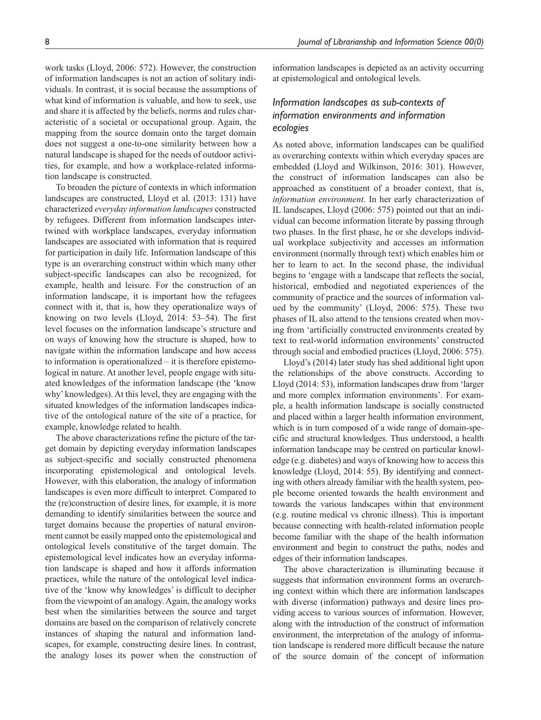work tasks (Lloyd, 2006: 572). However, the construction of information landscapes is not an action of solitary individuals. In contrast, it is social because the assumptions of what kind of information is valuable, and how to seek, use and share it is affected by the beliefs, norms and rules characteristic of a societal or occupational group. Again, the mapping from the source domain onto the target domain does not suggest a one-to-one similarity between how a natural landscape is shaped for the needs of outdoor activities, for example, and how a workplace-related information landscape is constructed.

To broaden the picture of contexts in which information landscapes are constructed, Lloyd et al. (2013: 131) have characterized *everyday information landscapes* constructed by refugees. Different from information landscapes intertwined with workplace landscapes, everyday information landscapes are associated with information that is required for participation in daily life. Information landscape of this type is an overarching construct within which many other subject-specific landscapes can also be recognized, for example, health and leisure. For the construction of an information landscape, it is important how the refugees connect with it, that is, how they operationalize ways of knowing on two levels (Lloyd, 2014: 53–54). The first level focuses on the information landscape's structure and on ways of knowing how the structure is shaped, how to navigate within the information landscape and how access to information is operationalized – it is therefore epistemological in nature. At another level, people engage with situated knowledges of the information landscape (the 'know why' knowledges). At this level, they are engaging with the situated knowledges of the information landscapes indicative of the ontological nature of the site of a practice, for example, knowledge related to health.

The above characterizations refine the picture of the target domain by depicting everyday information landscapes as subject-specific and socially constructed phenomena incorporating epistemological and ontological levels. However, with this elaboration, the analogy of information landscapes is even more difficult to interpret. Compared to the (re)construction of desire lines, for example, it is more demanding to identify similarities between the source and target domains because the properties of natural environment cannot be easily mapped onto the epistemological and ontological levels constitutive of the target domain. The epistemological level indicates how an everyday information landscape is shaped and how it affords information practices, while the nature of the ontological level indicative of the 'know why knowledges' is difficult to decipher from the viewpoint of an analogy. Again, the analogy works best when the similarities between the source and target domains are based on the comparison of relatively concrete instances of shaping the natural and information landscapes, for example, constructing desire lines. In contrast, the analogy loses its power when the construction of information landscapes is depicted as an activity occurring at epistemological and ontological levels.

# *Information landscapes as sub-contexts of information environments and information ecologies*

As noted above, information landscapes can be qualified as overarching contexts within which everyday spaces are embedded (Lloyd and Wilkinson, 2016: 301). However, the construct of information landscapes can also be approached as constituent of a broader context, that is, *information environment*. In her early characterization of IL landscapes, Lloyd (2006: 575) pointed out that an individual can become information literate by passing through two phases. In the first phase, he or she develops individual workplace subjectivity and accesses an information environment (normally through text) which enables him or her to learn to act. In the second phase, the individual begins to 'engage with a landscape that reflects the social, historical, embodied and negotiated experiences of the community of practice and the sources of information valued by the community' (Lloyd, 2006: 575). These two phases of IL also attend to the tensions created when moving from 'artificially constructed environments created by text to real-world information environments' constructed through social and embodied practices (Lloyd, 2006: 575).

Lloyd's (2014) later study has shed additional light upon the relationships of the above constructs. According to Lloyd (2014: 53), information landscapes draw from 'larger and more complex information environments'. For example, a health information landscape is socially constructed and placed within a larger health information environment, which is in turn composed of a wide range of domain-specific and structural knowledges. Thus understood, a health information landscape may be centred on particular knowledge (e.g. diabetes) and ways of knowing how to access this knowledge (Lloyd, 2014: 55). By identifying and connecting with others already familiar with the health system, people become oriented towards the health environment and towards the various landscapes within that environment (e.g. routine medical vs chronic illness). This is important because connecting with health-related information people become familiar with the shape of the health information environment and begin to construct the paths, nodes and edges of their information landscapes.

The above characterization is illuminating because it suggests that information environment forms an overarching context within which there are information landscapes with diverse (information) pathways and desire lines providing access to various sources of information. However, along with the introduction of the construct of information environment, the interpretation of the analogy of information landscape is rendered more difficult because the nature of the source domain of the concept of information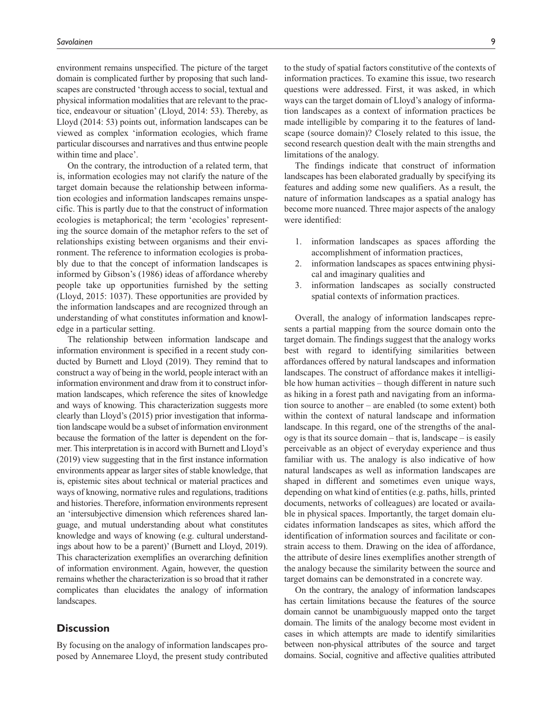environment remains unspecified. The picture of the target domain is complicated further by proposing that such landscapes are constructed 'through access to social, textual and physical information modalities that are relevant to the practice, endeavour or situation' (Lloyd, 2014: 53). Thereby, as Lloyd (2014: 53) points out, information landscapes can be viewed as complex 'information ecologies, which frame particular discourses and narratives and thus entwine people within time and place'.

On the contrary, the introduction of a related term, that is, information ecologies may not clarify the nature of the target domain because the relationship between information ecologies and information landscapes remains unspecific. This is partly due to that the construct of information ecologies is metaphorical; the term 'ecologies' representing the source domain of the metaphor refers to the set of relationships existing between organisms and their environment. The reference to information ecologies is probably due to that the concept of information landscapes is informed by Gibson's (1986) ideas of affordance whereby people take up opportunities furnished by the setting (Lloyd, 2015: 1037). These opportunities are provided by the information landscapes and are recognized through an understanding of what constitutes information and knowledge in a particular setting.

The relationship between information landscape and information environment is specified in a recent study conducted by Burnett and Lloyd (2019). They remind that to construct a way of being in the world, people interact with an information environment and draw from it to construct information landscapes, which reference the sites of knowledge and ways of knowing. This characterization suggests more clearly than Lloyd's (2015) prior investigation that information landscape would be a subset of information environment because the formation of the latter is dependent on the former. This interpretation is in accord with Burnett and Lloyd's (2019) view suggesting that in the first instance information environments appear as larger sites of stable knowledge, that is, epistemic sites about technical or material practices and ways of knowing, normative rules and regulations, traditions and histories. Therefore, information environments represent an 'intersubjective dimension which references shared language, and mutual understanding about what constitutes knowledge and ways of knowing (e.g. cultural understandings about how to be a parent)' (Burnett and Lloyd, 2019). This characterization exemplifies an overarching definition of information environment. Again, however, the question remains whether the characterization is so broad that it rather complicates than elucidates the analogy of information landscapes.

### **Discussion**

By focusing on the analogy of information landscapes proposed by Annemaree Lloyd, the present study contributed to the study of spatial factors constitutive of the contexts of information practices. To examine this issue, two research questions were addressed. First, it was asked, in which ways can the target domain of Lloyd's analogy of information landscapes as a context of information practices be made intelligible by comparing it to the features of landscape (source domain)? Closely related to this issue, the second research question dealt with the main strengths and limitations of the analogy.

The findings indicate that construct of information landscapes has been elaborated gradually by specifying its features and adding some new qualifiers. As a result, the nature of information landscapes as a spatial analogy has become more nuanced. Three major aspects of the analogy were identified:

- 1. information landscapes as spaces affording the accomplishment of information practices,
- 2. information landscapes as spaces entwining physical and imaginary qualities and
- 3. information landscapes as socially constructed spatial contexts of information practices.

Overall, the analogy of information landscapes represents a partial mapping from the source domain onto the target domain. The findings suggest that the analogy works best with regard to identifying similarities between affordances offered by natural landscapes and information landscapes. The construct of affordance makes it intelligible how human activities – though different in nature such as hiking in a forest path and navigating from an information source to another – are enabled (to some extent) both within the context of natural landscape and information landscape. In this regard, one of the strengths of the analogy is that its source domain – that is, landscape – is easily perceivable as an object of everyday experience and thus familiar with us. The analogy is also indicative of how natural landscapes as well as information landscapes are shaped in different and sometimes even unique ways, depending on what kind of entities (e.g. paths, hills, printed documents, networks of colleagues) are located or available in physical spaces. Importantly, the target domain elucidates information landscapes as sites, which afford the identification of information sources and facilitate or constrain access to them. Drawing on the idea of affordance, the attribute of desire lines exemplifies another strength of the analogy because the similarity between the source and target domains can be demonstrated in a concrete way.

On the contrary, the analogy of information landscapes has certain limitations because the features of the source domain cannot be unambiguously mapped onto the target domain. The limits of the analogy become most evident in cases in which attempts are made to identify similarities between non-physical attributes of the source and target domains. Social, cognitive and affective qualities attributed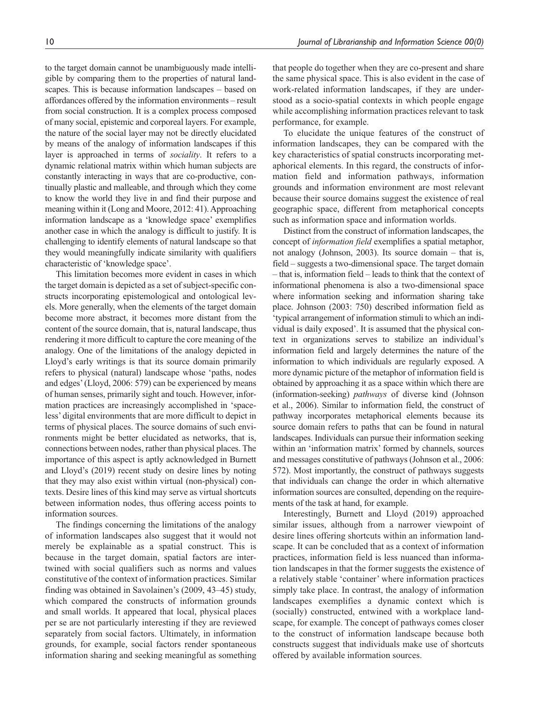to the target domain cannot be unambiguously made intelligible by comparing them to the properties of natural landscapes. This is because information landscapes – based on affordances offered by the information environments – result from social construction. It is a complex process composed of many social, epistemic and corporeal layers. For example, the nature of the social layer may not be directly elucidated by means of the analogy of information landscapes if this layer is approached in terms of *sociality*. It refers to a dynamic relational matrix within which human subjects are constantly interacting in ways that are co-productive, continually plastic and malleable, and through which they come to know the world they live in and find their purpose and meaning within it (Long and Moore, 2012: 41). Approaching information landscape as a 'knowledge space' exemplifies another case in which the analogy is difficult to justify. It is challenging to identify elements of natural landscape so that they would meaningfully indicate similarity with qualifiers characteristic of 'knowledge space'.

This limitation becomes more evident in cases in which the target domain is depicted as a set of subject-specific constructs incorporating epistemological and ontological levels. More generally, when the elements of the target domain become more abstract, it becomes more distant from the content of the source domain, that is, natural landscape, thus rendering it more difficult to capture the core meaning of the analogy. One of the limitations of the analogy depicted in Lloyd's early writings is that its source domain primarily refers to physical (natural) landscape whose 'paths, nodes and edges' (Lloyd, 2006: 579) can be experienced by means of human senses, primarily sight and touch. However, information practices are increasingly accomplished in 'spaceless' digital environments that are more difficult to depict in terms of physical places. The source domains of such environments might be better elucidated as networks, that is, connections between nodes, rather than physical places. The importance of this aspect is aptly acknowledged in Burnett and Lloyd's (2019) recent study on desire lines by noting that they may also exist within virtual (non-physical) contexts. Desire lines of this kind may serve as virtual shortcuts between information nodes, thus offering access points to information sources.

The findings concerning the limitations of the analogy of information landscapes also suggest that it would not merely be explainable as a spatial construct. This is because in the target domain, spatial factors are intertwined with social qualifiers such as norms and values constitutive of the context of information practices. Similar finding was obtained in Savolainen's (2009, 43–45) study, which compared the constructs of information grounds and small worlds. It appeared that local, physical places per se are not particularly interesting if they are reviewed separately from social factors. Ultimately, in information grounds, for example, social factors render spontaneous information sharing and seeking meaningful as something

that people do together when they are co-present and share the same physical space. This is also evident in the case of work-related information landscapes, if they are understood as a socio-spatial contexts in which people engage while accomplishing information practices relevant to task performance, for example.

To elucidate the unique features of the construct of information landscapes, they can be compared with the key characteristics of spatial constructs incorporating metaphorical elements. In this regard, the constructs of information field and information pathways, information grounds and information environment are most relevant because their source domains suggest the existence of real geographic space, different from metaphorical concepts such as information space and information worlds.

Distinct from the construct of information landscapes, the concept of *information field* exemplifies a spatial metaphor, not analogy (Johnson, 2003). Its source domain – that is, field – suggests a two-dimensional space. The target domain – that is, information field – leads to think that the context of informational phenomena is also a two-dimensional space where information seeking and information sharing take place. Johnson (2003: 750) described information field as 'typical arrangement of information stimuli to which an individual is daily exposed'. It is assumed that the physical context in organizations serves to stabilize an individual's information field and largely determines the nature of the information to which individuals are regularly exposed. A more dynamic picture of the metaphor of information field is obtained by approaching it as a space within which there are (information-seeking) *pathways* of diverse kind (Johnson et al., 2006). Similar to information field, the construct of pathway incorporates metaphorical elements because its source domain refers to paths that can be found in natural landscapes. Individuals can pursue their information seeking within an 'information matrix' formed by channels, sources and messages constitutive of pathways (Johnson et al., 2006: 572). Most importantly, the construct of pathways suggests that individuals can change the order in which alternative information sources are consulted, depending on the requirements of the task at hand, for example.

Interestingly, Burnett and Lloyd (2019) approached similar issues, although from a narrower viewpoint of desire lines offering shortcuts within an information landscape. It can be concluded that as a context of information practices, information field is less nuanced than information landscapes in that the former suggests the existence of a relatively stable 'container' where information practices simply take place. In contrast, the analogy of information landscapes exemplifies a dynamic context which is (socially) constructed, entwined with a workplace landscape, for example. The concept of pathways comes closer to the construct of information landscape because both constructs suggest that individuals make use of shortcuts offered by available information sources.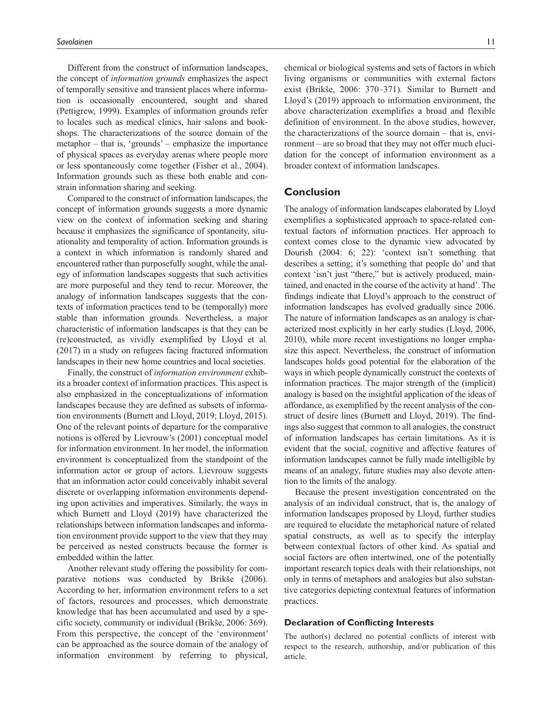Different from the construct of information landscapes, the concept of *information grounds* emphasizes the aspect of temporally sensitive and transient places where information is occasionally encountered, sought and shared (Pettigrew, 1999). Examples of information grounds refer to locales such as medical clinics, hair salons and bookshops. The characterizations of the source domain of the metaphor – that is, 'grounds' – emphasize the importance of physical spaces as everyday arenas where people more or less spontaneously come together (Fisher et al., 2004). Information grounds such as these both enable and constrain information sharing and seeking.

Compared to the construct of information landscapes, the concept of information grounds suggests a more dynamic view on the context of information seeking and sharing because it emphasizes the significance of spontaneity, situationality and temporality of action. Information grounds is a context in which information is randomly shared and encountered rather than purposefully sought, while the analogy of information landscapes suggests that such activities are more purposeful and they tend to recur. Moreover, the analogy of information landscapes suggests that the contexts of information practices tend to be (temporally) more stable than information grounds. Nevertheless, a major characteristic of information landscapes is that they can be (re)constructed, as vividly exemplified by Lloyd et al. (2017) in a study on refugees facing fractured information landscapes in their new home countries and local societies.

Finally, the construct of *information environment* exhibits a broader context of information practices. This aspect is also emphasized in the conceptualizations of information landscapes because they are defined as subsets of information environments (Burnett and Lloyd, 2019; Lloyd, 2015). One of the relevant points of departure for the comparative notions is offered by Lievrouw's (2001) conceptual model for information environment. In her model, the information environment is conceptualized from the standpoint of the information actor or group of actors. Lievrouw suggests that an information actor could conceivably inhabit several discrete or overlapping information environments depending upon activities and imperatives. Similarly, the ways in which Burnett and Lloyd (2019) have characterized the relationships between information landscapes and information environment provide support to the view that they may be perceived as nested constructs because the former is embedded within the latter.

Another relevant study offering the possibility for comparative notions was conducted by Brikše (2006). According to her, information environment refers to a set of factors, resources and processes, which demonstrate knowledge that has been accumulated and used by a specific society, community or individual (Brikše, 2006: 369). From this perspective, the concept of the 'environment' can be approached as the source domain of the analogy of information environment by referring to physical,

chemical or biological systems and sets of factors in which living organisms or communities with external factors exist (Brikše, 2006: 370–371). Similar to Burnett and Lloyd's (2019) approach to information environment, the above characterization exemplifies a broad and flexible definition of environment. In the above studies, however, the characterizations of the source domain – that is, environment – are so broad that they may not offer much elucidation for the concept of information environment as a broader context of information landscapes.

### **Conclusion**

The analogy of information landscapes elaborated by Lloyd exemplifies a sophisticated approach to space-related contextual factors of information practices. Her approach to context comes close to the dynamic view advocated by Dourish (2004: 6; 22): 'context isn't something that describes a setting; it's something that people do' and that context 'isn't just "there," but is actively produced, maintained, and enacted in the course of the activity at hand'. The findings indicate that Lloyd's approach to the construct of information landscapes has evolved gradually since 2006. The nature of information landscapes as an analogy is characterized most explicitly in her early studies (Lloyd, 2006, 2010), while more recent investigations no longer emphasize this aspect. Nevertheless, the construct of information landscapes holds good potential for the elaboration of the ways in which people dynamically construct the contexts of information practices. The major strength of the (implicit) analogy is based on the insightful application of the ideas of affordance, as exemplified by the recent analysis of the construct of desire lines (Burnett and Lloyd, 2019). The findings also suggest that common to all analogies, the construct of information landscapes has certain limitations. As it is evident that the social, cognitive and affective features of information landscapes cannot be fully made intelligible by means of an analogy, future studies may also devote attention to the limits of the analogy.

Because the present investigation concentrated on the analysis of an individual construct, that is, the analogy of information landscapes proposed by Lloyd, further studies are required to elucidate the metaphorical nature of related spatial constructs, as well as to specify the interplay between contextual factors of other kind. As spatial and social factors are often intertwined, one of the potentially important research topics deals with their relationships, not only in terms of metaphors and analogies but also substantive categories depicting contextual features of information practices.

#### **Declaration of Conflicting Interests**

The author(s) declared no potential conflicts of interest with respect to the research, authorship, and/or publication of this article.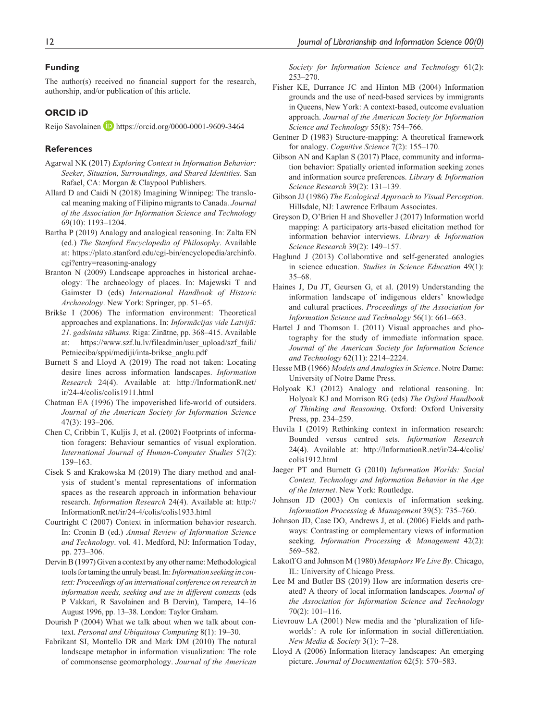#### **Funding**

The author(s) received no financial support for the research, authorship, and/or publication of this article.

#### **ORCID iD**

Reijo Savolainen **<https://orcid.org/0000-0001-9609-3464>** 

#### **References**

- Agarwal NK (2017) *Exploring Context in Information Behavior: Seeker, Situation, Surroundings, and Shared Identities*. San Rafael, CA: Morgan & Claypool Publishers.
- Allard D and Caidi N (2018) Imagining Winnipeg: The translocal meaning making of Filipino migrants to Canada. *Journal of the Association for Information Science and Technology* 69(10): 1193–1204.
- Bartha P (2019) Analogy and analogical reasoning. In: Zalta EN (ed.) *The Stanford Encyclopedia of Philosophy*. Available at: [https://plato.stanford.edu/cgi-bin/encyclopedia/archinfo.](https://plato.stanford.edu/cgi-bin/encyclopedia/archinfo.cgi?entry=reasoning-analogy) [cgi?entry=reasoning-analogy](https://plato.stanford.edu/cgi-bin/encyclopedia/archinfo.cgi?entry=reasoning-analogy)
- Branton N (2009) Landscape approaches in historical archaeology: The archaeology of places. In: Majewski T and Gaimster D (eds) *International Handbook of Historic Archaeology*. New York: Springer, pp. 51–65.
- Brikše I (2006) The information environment: Theoretical approaches and explanations. In: *Informācijas vide Latvijā: 21. gadsimta sākums*. Riga: Zinātne, pp. 368–415. Available at: [https://www.szf.lu.lv/fileadmin/user\\_upload/szf\\_faili/](https://www.szf.lu.lv/fileadmin/user_upload/szf_faili/Petnieciba/sppi/mediji/inta-brikse_anglu.pdf) [Petnieciba/sppi/mediji/inta-brikse\\_anglu.pdf](https://www.szf.lu.lv/fileadmin/user_upload/szf_faili/Petnieciba/sppi/mediji/inta-brikse_anglu.pdf)
- Burnett S and Lloyd A (2019) The road not taken: Locating desire lines across information landscapes. *Information Research* 24(4). Available at: [http://InformationR.net/](http://InformationR.net/ir/24-4/colis/colis1911.html) [ir/24-4/colis/colis1911.html](http://InformationR.net/ir/24-4/colis/colis1911.html)
- Chatman EA (1996) The impoverished life-world of outsiders. *Journal of the American Society for Information Science* 47(3): 193–206.
- Chen C, Cribbin T, Kuljis J, et al. (2002) Footprints of information foragers: Behaviour semantics of visual exploration. *International Journal of Human-Computer Studies* 57(2): 139–163.
- Cisek S and Krakowska M (2019) The diary method and analysis of student's mental representations of information spaces as the research approach in information behaviour research. *Information Research* 24(4). Available at: [http://](http://InformationR.net/ir/24-4/colis/colis1933.html) [InformationR.net/ir/24-4/colis/colis1933.html](http://InformationR.net/ir/24-4/colis/colis1933.html)
- Courtright C (2007) Context in information behavior research. In: Cronin B (ed.) *Annual Review of Information Science and Technology*. vol. 41. Medford, NJ: Information Today, pp. 273–306.
- Dervin B (1997) Given a context by any other name: Methodological tools for taming the unruly beast. In: *Information seeking in context: Proceedings of an international conference on research in information needs, seeking and use in different contexts* (eds P Vakkari, R Savolainen and B Dervin), Tampere, 14–16 August 1996, pp. 13–38. London: Taylor Graham.
- Dourish P (2004) What we talk about when we talk about context. *Personal and Ubiquitous Computing* 8(1): 19–30.
- Fabrikant SI, Montello DR and Mark DM (2010) The natural landscape metaphor in information visualization: The role of commonsense geomorphology. *Journal of the American*

*Society for Information Science and Technology* 61(2): 253–270.

- Fisher KE, Durrance JC and Hinton MB (2004) Information grounds and the use of need-based services by immigrants in Queens, New York: A context-based, outcome evaluation approach. *Journal of the American Society for Information Science and Technology* 55(8): 754–766.
- Gentner D (1983) Structure-mapping: A theoretical framework for analogy. *Cognitive Science* 7(2): 155–170.
- Gibson AN and Kaplan S (2017) Place, community and information behavior: Spatially oriented information seeking zones and information source preferences. *Library & Information Science Research* 39(2): 131–139.
- Gibson JJ (1986) *The Ecological Approach to Visual Perception*. Hillsdale, NJ: Lawrence Erlbaum Associates.
- Greyson D, O'Brien H and Shoveller J (2017) Information world mapping: A participatory arts-based elicitation method for information behavior interviews. *Library & Information Science Research* 39(2): 149–157.
- Haglund J (2013) Collaborative and self-generated analogies in science education. *Studies in Science Education* 49(1): 35–68.
- Haines J, Du JT, Geursen G, et al. (2019) Understanding the information landscape of indigenous elders' knowledge and cultural practices. *Proceedings of the Association for Information Science and Technology* 56(1): 661–663.
- Hartel J and Thomson L (2011) Visual approaches and photography for the study of immediate information space. *Journal of the American Society for Information Science and Technology* 62(11): 2214–2224.
- Hesse MB (1966) *Models and Analogies in Science*. Notre Dame: University of Notre Dame Press.
- Holyoak KJ (2012) Analogy and relational reasoning. In: Holyoak KJ and Morrison RG (eds) *The Oxford Handbook of Thinking and Reasoning*. Oxford: Oxford University Press, pp. 234–259.
- Huvila I (2019) Rethinking context in information research: Bounded versus centred sets. *Information Research* 24(4). Available at: [http://InformationR.net/ir/24-4/colis/](http://InformationR.net/ir/24-4/colis/colis1912.html) [colis1912.html](http://InformationR.net/ir/24-4/colis/colis1912.html)
- Jaeger PT and Burnett G (2010) *Information Worlds: Social Context, Technology and Information Behavior in the Age of the Internet*. New York: Routledge.
- Johnson JD (2003) On contexts of information seeking. *Information Processing & Management* 39(5): 735–760.
- Johnson JD, Case DO, Andrews J, et al. (2006) Fields and pathways: Contrasting or complementary views of information seeking. *Information Processing & Management* 42(2): 569–582.
- Lakoff G and Johnson M (1980) *Metaphors We Live By*. Chicago, IL: University of Chicago Press.
- Lee M and Butler BS (2019) How are information deserts created? A theory of local information landscapes. *Journal of the Association for Information Science and Technology* 70(2): 101–116.
- Lievrouw LA (2001) New media and the 'pluralization of lifeworlds': A role for information in social differentiation. *New Media & Society* 3(1): 7–28.
- Lloyd A (2006) Information literacy landscapes: An emerging picture. *Journal of Documentation* 62(5): 570–583.